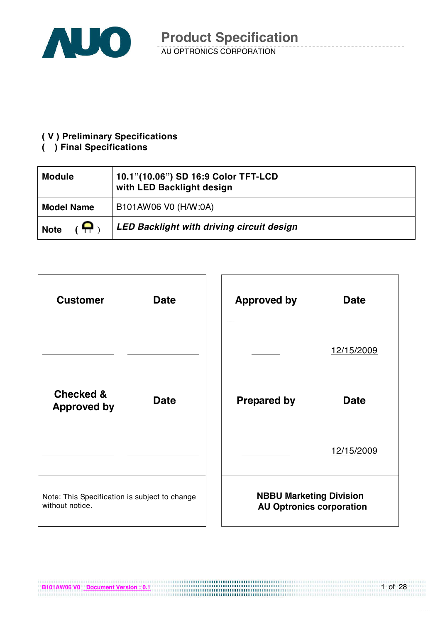

#### **( V ) Preliminary Specifications**

#### **( ) Final Specifications**

| <b>Module</b>     | 10.1"(10.06") SD 16:9 Color TFT-LCD<br>with LED Backlight design |
|-------------------|------------------------------------------------------------------|
| <b>Model Name</b> | B101AW06 V0 (H/W:0A)                                             |
| <b>Note</b>       | <b>LED Backlight with driving circuit design</b>                 |



**B101AW06 V0** <u>Document Version : 0.1</u><br> **B101AW06 V0** Document Version : 0.1

1 of 28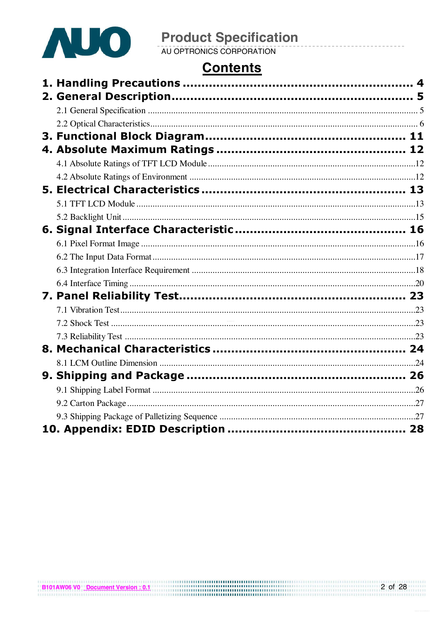

# **Product Specification**<br>AU OPTRONICS CORPORATION

## **Contents**

2 of 28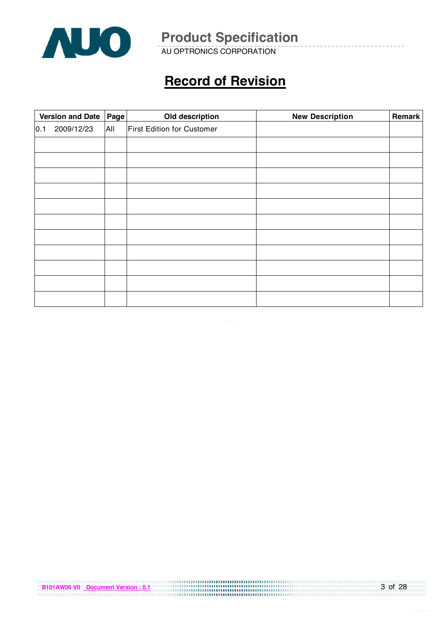

AU OPTRONICS CORPORATION

## **Record of Revision**

|     | <b>Version and Date</b> | $ $ Page $ $ | Old description                   | <b>New Description</b> | Remark |
|-----|-------------------------|--------------|-----------------------------------|------------------------|--------|
| 0.1 | 2009/12/23              | All          | <b>First Edition for Customer</b> |                        |        |
|     |                         |              |                                   |                        |        |
|     |                         |              |                                   |                        |        |
|     |                         |              |                                   |                        |        |
|     |                         |              |                                   |                        |        |
|     |                         |              |                                   |                        |        |
|     |                         |              |                                   |                        |        |
|     |                         |              |                                   |                        |        |
|     |                         |              |                                   |                        |        |
|     |                         |              |                                   |                        |        |
|     |                         |              |                                   |                        |        |
|     |                         |              |                                   |                        |        |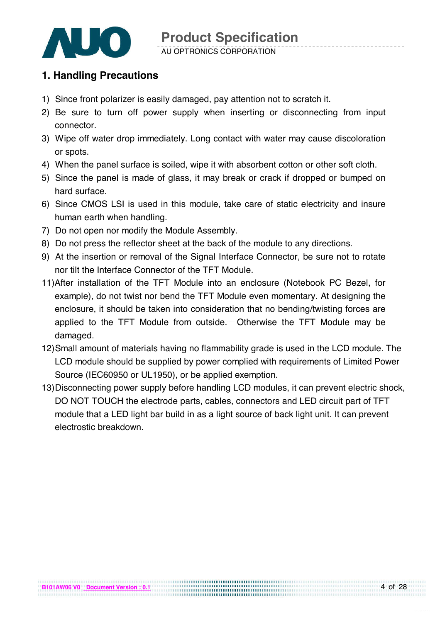

## **1. Handling Precautions**

- 1) Since front polarizer is easily damaged, pay attention not to scratch it.
- 2) Be sure to turn off power supply when inserting or disconnecting from input connector.
- 3) Wipe off water drop immediately. Long contact with water may cause discoloration or spots.
- 4) When the panel surface is soiled, wipe it with absorbent cotton or other soft cloth.
- 5) Since the panel is made of glass, it may break or crack if dropped or bumped on hard surface.
- 6) Since CMOS LSI is used in this module, take care of static electricity and insure human earth when handling.
- 7) Do not open nor modify the Module Assembly.
- 8) Do not press the reflector sheet at the back of the module to any directions.
- 9) At the insertion or removal of the Signal Interface Connector, be sure not to rotate nor tilt the Interface Connector of the TFT Module.
- 11)After installation of the TFT Module into an enclosure (Notebook PC Bezel, for example), do not twist nor bend the TFT Module even momentary. At designing the enclosure, it should be taken into consideration that no bending/twisting forces are applied to the TFT Module from outside. $-$  Otherwise the TFT Module may be damaged.
- 12) Small amount of materials having no flammability grade is used in the LCD module. The LCD module should be supplied by power complied with requirements of Limited Power Source (IEC60950 or UL1950), or be applied exemption.
- 13) Disconnecting power supply before handling LCD modules, it can prevent electric shock, DO NOT TOUCH the electrode parts, cables, connectors and LED circuit part of TFT module that a LED light bar build in as a light source of back light unit. It can prevent electrostic breakdown.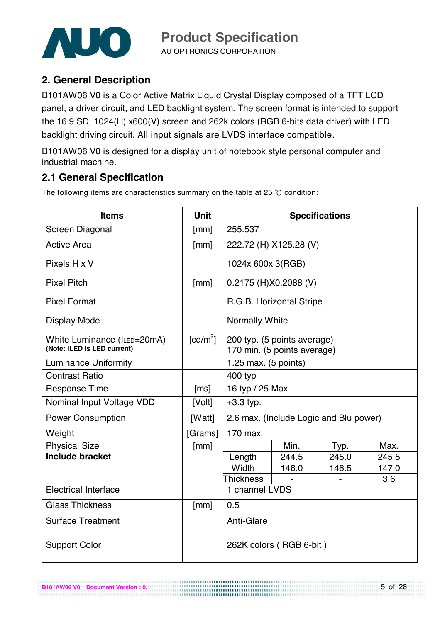

## **2. General Description**

B101AW06 V0 is a Color Active Matrix Liquid Crystal Display composed of a TFT LCD panel, a driver circuit, and LED backlight system. The screen format is intended to support the 16:9 SD, 1024(H) x600(V) screen and 262k colors (RGB 6-bits data driver) with LED backlight driving circuit. All input signals are LVDS interface compatible.

B101AW06 V0 is designed for a display unit of notebook style personal computer and industrial machine.

## **2.1 General Specification**

The following items are characteristics summary on the table at 25  $\degree$ C condition:

| <b>Items</b>                                               | <b>Unit</b>                         |                                |                                                            | <b>Specifications</b> |       |
|------------------------------------------------------------|-------------------------------------|--------------------------------|------------------------------------------------------------|-----------------------|-------|
| Screen Diagonal                                            | [mm]                                | 255.537                        |                                                            |                       |       |
| <b>Active Area</b>                                         | [mm]                                | 222.72 (H) X125.28 (V)         |                                                            |                       |       |
| Pixels H x V                                               |                                     | 1024x 600x 3(RGB)              |                                                            |                       |       |
| <b>Pixel Pitch</b>                                         | [mm]                                |                                | 0.2175 (H) X0.2088 (V)                                     |                       |       |
| <b>Pixel Format</b>                                        |                                     |                                | R.G.B. Horizontal Stripe                                   |                       |       |
| <b>Display Mode</b>                                        |                                     | Normally White                 |                                                            |                       |       |
| White Luminance (ILED=20mA)<br>(Note: ILED is LED current) | $\lceil$ cd/m <sup>2</sup> $\rceil$ |                                | 200 typ. (5 points average)<br>170 min. (5 points average) |                       |       |
| <b>Luminance Uniformity</b>                                |                                     | 1.25 max. $(5 \text{ points})$ |                                                            |                       |       |
| <b>Contrast Ratio</b>                                      |                                     | 400 typ                        |                                                            |                       |       |
| <b>Response Time</b>                                       | [ms]                                | 16 typ / 25 Max                |                                                            |                       |       |
| Nominal Input Voltage VDD                                  | [Volt]                              | $+3.3$ typ.                    |                                                            |                       |       |
| <b>Power Consumption</b>                                   | [Watt]                              |                                | 2.6 max. (Include Logic and Blu power)                     |                       |       |
| Weight                                                     | [Grams]                             | 170 max.                       |                                                            |                       |       |
| <b>Physical Size</b>                                       | [mm]                                |                                | Min.                                                       | Typ.                  | Max.  |
| <b>Include bracket</b>                                     |                                     | Length                         | 244.5                                                      | 245.0                 | 245.5 |
|                                                            |                                     | Width                          | 146.0                                                      | 146.5                 | 147.0 |
|                                                            |                                     | Thickness                      |                                                            |                       | 3.6   |
| <b>Electrical Interface</b>                                |                                     | 1 channel LVDS                 |                                                            |                       |       |
| <b>Glass Thickness</b>                                     | [mm]                                | 0.5                            |                                                            |                       |       |
| <b>Surface Treatment</b>                                   |                                     | Anti-Glare                     |                                                            |                       |       |
| <b>Support Color</b>                                       |                                     |                                | 262K colors (RGB 6-bit)                                    |                       |       |

................................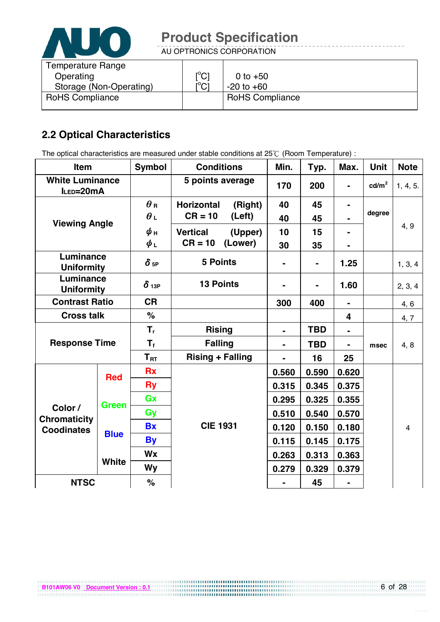

AU OPTRONICS CORPORATION

| Temperature Range       |                               |                        |
|-------------------------|-------------------------------|------------------------|
| Operating               | $\mathop{\rm l}{\rm ^oC}$     | 0 to $+50$             |
| Storage (Non-Operating) | $\mathsf{I}^\circ\mathsf{C}1$ | $-20$ to $+60$         |
| <b>RoHS Compliance</b>  |                               | <b>RoHS Compliance</b> |

## **2.2 Optical Characteristics**

The optical characteristics are measured under stable conditions at 25°C (Room Temperature) :

| Item                                                |                                    | <b>Symbol</b>           | <b>Conditions</b>          |         | Min.           | Typ.           | Max.                    | <b>Unit</b>     | <b>Note</b>    |
|-----------------------------------------------------|------------------------------------|-------------------------|----------------------------|---------|----------------|----------------|-------------------------|-----------------|----------------|
| <b>White Luminance</b><br>ILED=20mA                 |                                    |                         | 5 points average           |         | 170            | 200            |                         | $\text{cd/m}^2$ | 1, 4, 5.       |
|                                                     |                                    | $\theta_{\rm R}$        | <b>Horizontal</b>          | (Right) | 40             | 45             |                         |                 |                |
| <b>Viewing Angle</b>                                |                                    | $\theta_L$              | $CR = 10$<br>(Left)        |         | 40             | 45             |                         | degree          |                |
|                                                     |                                    | $\phi$ н                | <b>Vertical</b><br>(Upper) | 10      | 15             |                |                         | 4, 9            |                |
|                                                     |                                    | ψL                      | $CR = 10$                  | (Lower) | 30             | 35             |                         |                 |                |
| Luminance<br><b>Uniformity</b>                      |                                    | $\delta$ 5P             | <b>5 Points</b>            |         | -              | $\blacksquare$ | 1.25                    |                 | 1, 3, 4        |
| Luminance<br><b>Uniformity</b>                      |                                    | $\delta$ 13P            | <b>13 Points</b>           |         |                | $\blacksquare$ | 1.60                    |                 | 2, 3, 4        |
|                                                     | <b>CR</b><br><b>Contrast Ratio</b> |                         | 300                        | 400     | $\blacksquare$ |                | 4, 6                    |                 |                |
| <b>Cross talk</b>                                   |                                    | $\%$                    |                            |         |                |                | $\overline{\mathbf{4}}$ |                 | 4,7            |
| <b>Response Time</b>                                |                                    | Т,                      | <b>Rising</b>              |         | $\blacksquare$ | <b>TBD</b>     |                         |                 |                |
|                                                     |                                    | $\mathsf{T}_\mathsf{f}$ | <b>Falling</b>             |         |                | <b>TBD</b>     |                         | msec            | 4, 8           |
|                                                     |                                    | $T_{\sf RT}$            | <b>Rising + Falling</b>    |         |                | 16             | 25                      |                 |                |
| <b>Red</b>                                          |                                    | <b>Rx</b>               |                            |         | 0.560          | 0.590          | 0.620                   |                 |                |
|                                                     |                                    | <b>Ry</b>               |                            |         | 0.315          | 0.345          | 0.375                   |                 |                |
|                                                     | <b>Green</b>                       | Gx                      |                            |         | 0.295          | 0.325          | 0.355                   |                 |                |
| Color /<br><b>Chromaticity</b><br><b>Coodinates</b> |                                    | Gy                      |                            |         | 0.510          | 0.540          | 0.570                   |                 |                |
|                                                     | <b>Blue</b>                        | <b>Bx</b>               | <b>CIE 1931</b>            |         | 0.120          | 0.150          | 0.180                   |                 | $\overline{4}$ |
|                                                     |                                    | <b>By</b>               |                            |         | 0.115          | 0.145          | 0.175                   |                 |                |
|                                                     |                                    | <b>Wx</b>               |                            |         | 0.263          | 0.313          | 0.363                   |                 |                |
|                                                     | <b>White</b>                       | Wy                      |                            |         | 0.279          | 0.329          | 0.379                   |                 |                |
| <b>NTSC</b>                                         |                                    | %                       |                            |         |                | 45             |                         |                 |                |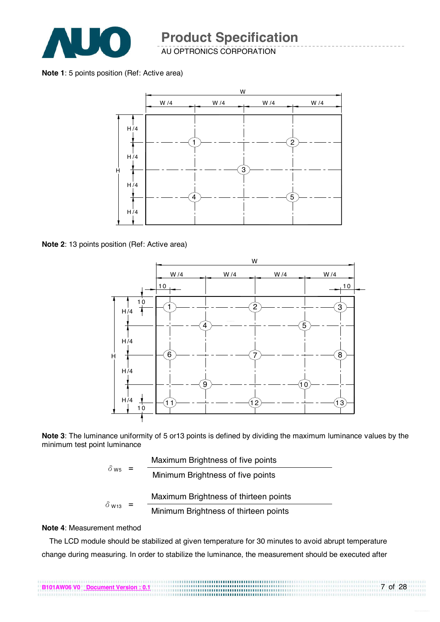

#### **Note 1**: 5 points position (Ref: Active area)



**Note 2**: 13 points position (Ref: Active area)



**Note 3**: The luminance uniformity of 5 or13 points is defined by dividing the maximum luminance values by the minimum test point luminance

|              |     | Maximum Brightness of five points     |
|--------------|-----|---------------------------------------|
| $\delta$ ws  | $=$ | Minimum Brightness of five points     |
|              |     | Maximum Brightness of thirteen points |
| $\delta$ W13 |     | Minimum Brightness of thirteen points |

#### **Note 4**: Measurement method

The LCD module should be stabilized at given temperature for 30 minutes to avoid abrupt temperature change during measuring. In order to stabilize the luminance, the measurement should be executed after

7 of 28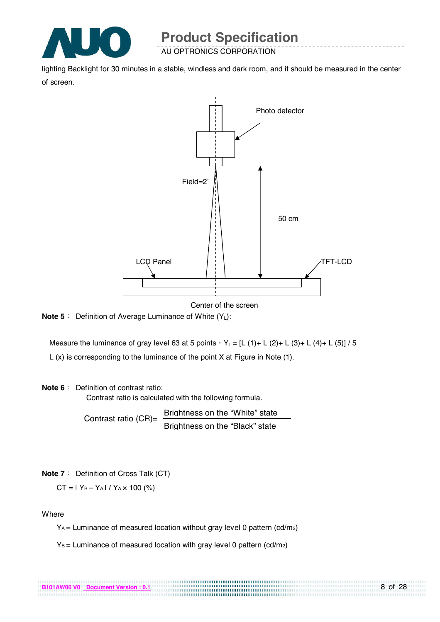

lighting Backlight for 30 minutes in a stable, windless and dark room, and it should be measured in the center of screen.



Center of the screen

................................

**Note 5** : Definition of Average Luminance of White (Y<sub>L</sub>):

Measure the luminance of gray level 63 at 5 points  $Y_L = [L (1) + L (2) + L (3) + L (4) + L (5)] / 5$ L (x) is corresponding to the luminance of the point X at Figure in Note (1).

#### **Note 6** : Definition of contrast ratio:

Contrast ratio is calculated with the following formula.

Contrast ratio  $(CR)$ = Brightness on the "White" state Brightness on the "Black" state

**Note 7** : Definition of Cross Talk (CT)

$$
CT = 1 Y_B - Y_A 1 / Y_A \times 100
$$
 (%)

#### **Where**

YA = Luminance of measured location without gray level 0 pattern (cd/m2)

 $Y_B$  = Luminance of measured location with gray level 0 pattern (cd/m<sub>2</sub>)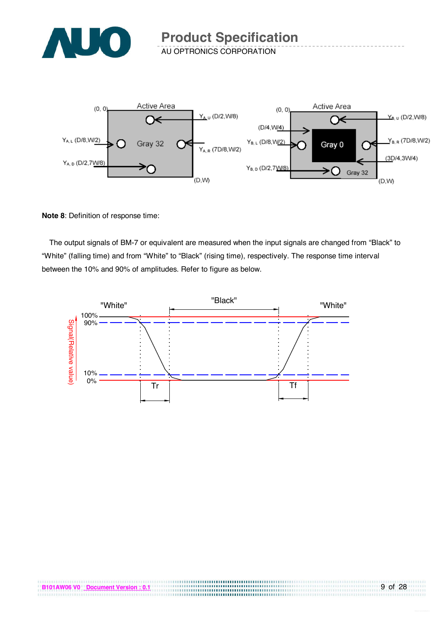



**Note 8**: Definition of response time:

The output signals of BM-7 or equivalent are measured when the input signals are changed from "Black" to "White" (falling time) and from "White" to "Black" (rising time), respectively. The response time interval between the 10% and 90% of amplitudes. Refer to figure as below.

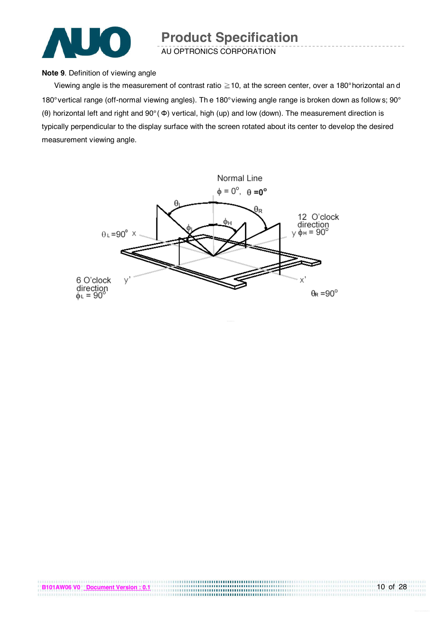

#### **Note 9**. Definition of viewing angle

Viewing angle is the measurement of contrast ratio  $\geq$  10, at the screen center, over a 180° horizontal an d 180° vertical range (off-normal viewing angles). Th e 180° viewing angle range is broken down as follow s; 90° (θ) horizontal left and right and 90° ( Φ) vertical, high (up) and low (down). The measurement direction is typically perpendicular to the display surface with the screen rotated about its center to develop the desired measurement viewing angle.

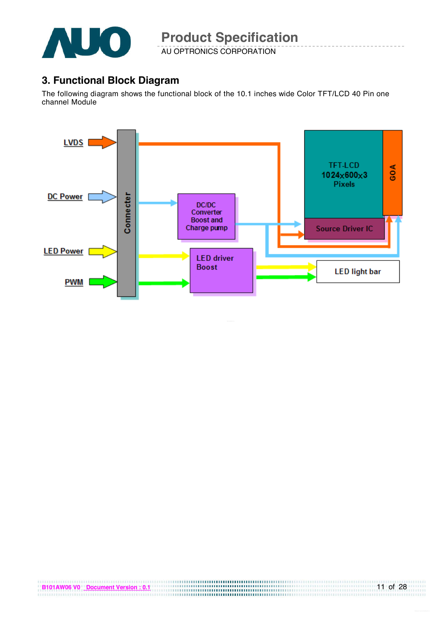

AU OPTRONICS CORPORATION

### **3. Functional Block Diagram**

The following diagram shows the functional block of the 10.1 inches wide Color TFT/LCD 40 Pin one channel Module

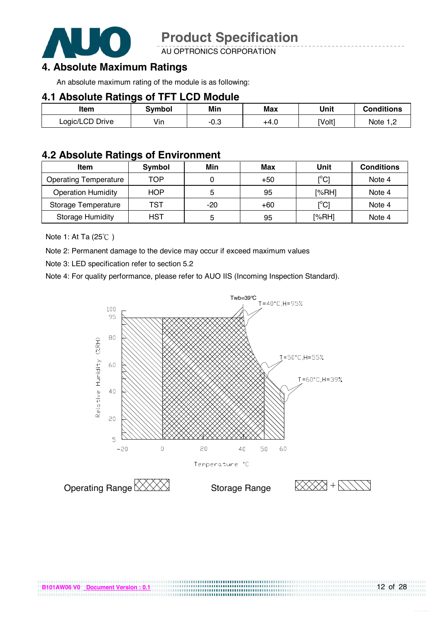

AU OPTRONICS CORPORATION

## **4. Absolute Maximum Ratings**

An absolute maximum rating of the module is as following:

#### **4.1 Absolute Ratings of TFT LCD Module**

| Item            | Svmbol | Min  | Max  | Unit   | <b>Conditions</b>    |
|-----------------|--------|------|------|--------|----------------------|
| Logic/LCD Drive | Vin    | -∪.ఎ | +4.0 | [Volt] | Note 1. <sup>r</sup> |

#### **4.2 Absolute Ratings of Environment**

| <b>Item</b>                  | Symbol     | Min   | Max   | Unit                          | <b>Conditions</b> |
|------------------------------|------------|-------|-------|-------------------------------|-------------------|
| <b>Operating Temperature</b> | TOP        |       | $+50$ | $\mathsf{I}^\circ\mathsf{Cl}$ | Note 4            |
| <b>Operation Humidity</b>    | <b>HOP</b> | 5     | 95    | [%RH]                         | Note 4            |
| Storage Temperature          | TST        | $-20$ | $+60$ | $\mathsf{I}^\circ\mathsf{Cl}$ | Note 4            |
| <b>Storage Humidity</b>      | <b>HST</b> | 5     | 95    | [%RH]                         | Note 4            |

Note 1: At Ta  $(25^{\circ}$ C)

Note 2: Permanent damage to the device may occur if exceed maximum values

Note 3: LED specification refer to section 5.2

Note 4: For quality performance, please refer to AUO IIS (Incoming Inspection Standard).



...............................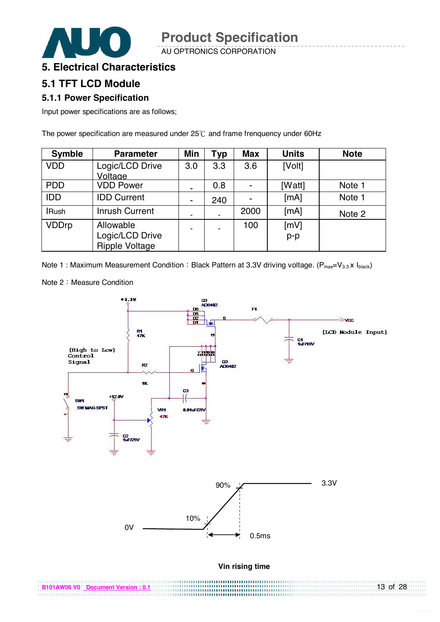AU OPTRONICS CORPORATION



### **5. Electrical Characteristics**

#### **5.1 TFT LCD Module**

#### **5.1.1 Power Specification**

Input power specifications are as follows;

The power specification are measured under  $25^{\circ}$ C and frame frenquency under 60Hz

| <b>Symble</b> | <b>Parameter</b>                                      | Min | Typ | <b>Max</b>     | <b>Units</b>  | <b>Note</b> |
|---------------|-------------------------------------------------------|-----|-----|----------------|---------------|-------------|
| <b>VDD</b>    | Logic/LCD Drive<br>Voltage                            | 3.0 | 3.3 | 3.6            | [Volt]        |             |
| <b>PDD</b>    | <b>VDD Power</b>                                      | ۰   | 0.8 |                | [Watt]        | Note 1      |
| <b>IDD</b>    | <b>IDD Current</b>                                    | ٠   | 240 | $\blacksquare$ | [MA]          | Note 1      |
| <b>IRush</b>  | <b>Inrush Current</b>                                 | ٠   |     | 2000           | [MA]          | Note 2      |
| <b>VDDrp</b>  | Allowable<br>Logic/LCD Drive<br><b>Ripple Voltage</b> | ۰   |     | 100            | [mV]<br>$p-p$ |             |

Note 1 : Maximum Measurement Condition : Black Pattern at 3.3V driving voltage. ( $P_{max}=V_{3.3}$  x  $I_{black}$ )

Note 2: Measure Condition

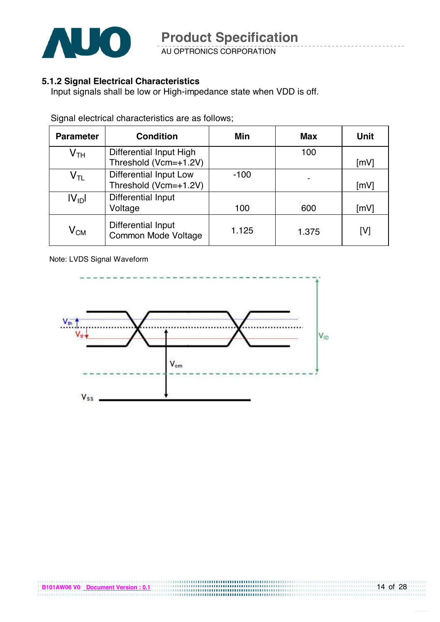

AU OPTRONICS CORPORATION

#### **5.1.2 Signal Electrical Characteristics**

Input signals shall be low or High-impedance state when VDD is off.

| <b>Parameter</b>           | <b>Condition</b>                                       | Min    | <b>Max</b> | Unit |
|----------------------------|--------------------------------------------------------|--------|------------|------|
| $\mathsf{V}_{\mathsf{TH}}$ | Differential Input High<br>Threshold (Vcm=+1.2V)       |        | 100        | [mV] |
| $V_{TL}$                   | <b>Differential Input Low</b><br>Threshold (Vcm=+1.2V) | $-100$ |            | [mV] |
| IV <sub>1D</sub> I         | Differential Input<br>Voltage                          | 100    | 600        | [mV] |
| $\mathsf{V}_{\mathsf{CM}}$ | Differential Input<br>Common Mode Voltage              | 1.125  | 1.375      | [V]  |

Signal electrical characteristics are as follows;

Note: LVDS Signal Waveform



,,,,,,,,,,,,,,,,,,,,,,,,,,,,,,,,,,,,,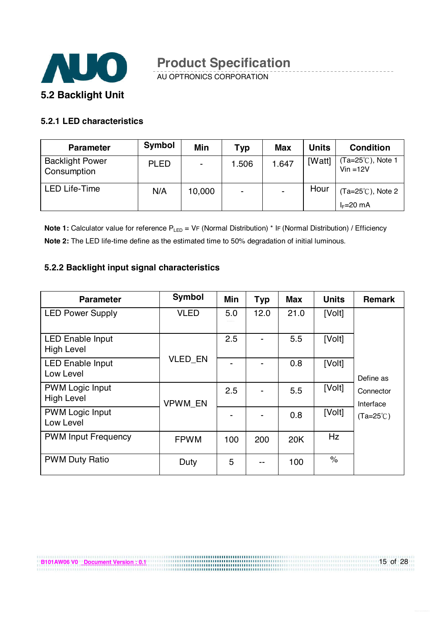

AU OPTRONICS CORPORATION

#### **5.2.1 LED characteristics**

| <b>Parameter</b>                      | <b>Symbol</b> | Min            | Typ   | <b>Max</b> | <b>Units</b> | <b>Condition</b>                |
|---------------------------------------|---------------|----------------|-------|------------|--------------|---------------------------------|
| <b>Backlight Power</b><br>Consumption | <b>PLED</b>   | $\blacksquare$ | 1.506 | 1.647      | [Watt]       | (Ta=25℃), Note 1<br>$Vin = 12V$ |
| <b>LED Life-Time</b>                  | N/A           | 10,000         | ۰     |            | Hour         | $(Ta=25^{\circ}C)$ , Note 2     |
|                                       |               |                |       |            |              | $I_F=20$ mA                     |

**Note 1:** Calculator value for reference P<sub>LED</sub> = VF (Normal Distribution) \* IF (Normal Distribution) / Efficiency **Note 2:** The LED life-time define as the estimated time to 50% degradation of initial luminous.

#### **5.2.2 Backlight input signal characteristics**

**B101AW06 V0** Document Version : 0.1

| <b>Parameter</b>                             | <b>Symbol</b>  | Min | <b>Typ</b> | <b>Max</b> | <b>Units</b> | <b>Remark</b>          |
|----------------------------------------------|----------------|-----|------------|------------|--------------|------------------------|
| <b>LED Power Supply</b>                      | <b>VLED</b>    | 5.0 | 12.0       | 21.0       | [Volt]       |                        |
| <b>LED Enable Input</b><br><b>High Level</b> |                | 2.5 |            | 5.5        | [Volt]       |                        |
| <b>LED Enable Input</b><br>Low Level         | <b>VLED EN</b> |     |            | 0.8        | [Volt]       | Define as              |
| <b>PWM Logic Input</b><br><b>High Level</b>  | <b>VPWM EN</b> | 2.5 |            | 5.5        | [Volt]       | Connector<br>Interface |
| <b>PWM Logic Input</b><br>Low Level          |                |     |            | 0.8        | [Volt]       | $(Ta=25^{\circ}C)$     |
| <b>PWM Input Frequency</b>                   | <b>FPWM</b>    | 100 | 200        | 20K        | Hz           |                        |
| <b>PWM Duty Ratio</b>                        | Duty           | 5   |            | 100        | $\%$         |                        |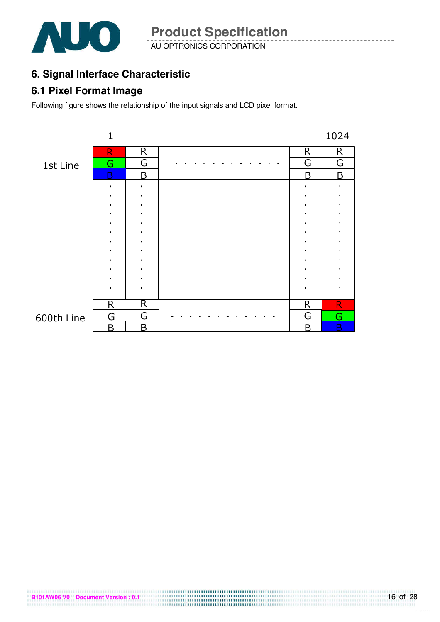

AU OPTRONICS CORPORATION **Product Specification** 

## **6. Signal Interface Characteristic**

### **6.1 Pixel Format Image**

Following figure shows the relationship of the input signals and LCD pixel format.



**B101AW06 V0** <u>Document Version : 0.1</u> **CONSUMER 2018 101AW06 V0** Document Version : 0.1

### 600th Line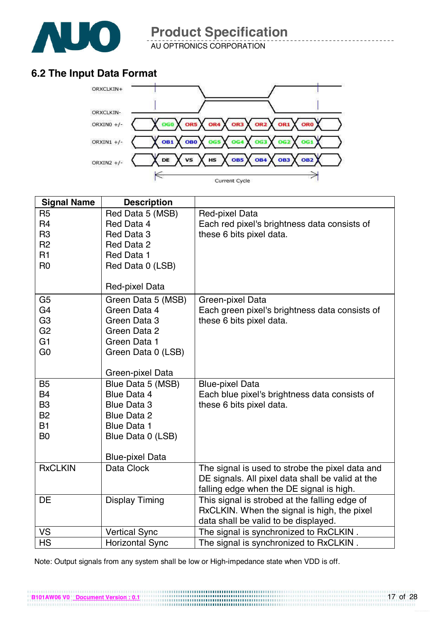

AU OPTRONICS CORPORATION

## **6.2 The Input Data Format**



| <b>Signal Name</b> | <b>Description</b>     |                                                  |
|--------------------|------------------------|--------------------------------------------------|
| R <sub>5</sub>     | Red Data 5 (MSB)       | Red-pixel Data                                   |
| R <sub>4</sub>     | Red Data 4             | Each red pixel's brightness data consists of     |
| R <sub>3</sub>     | Red Data 3             | these 6 bits pixel data.                         |
| R <sub>2</sub>     | Red Data 2             |                                                  |
| R <sub>1</sub>     | Red Data 1             |                                                  |
| R <sub>0</sub>     | Red Data 0 (LSB)       |                                                  |
|                    |                        |                                                  |
|                    | Red-pixel Data         |                                                  |
| G <sub>5</sub>     | Green Data 5 (MSB)     | Green-pixel Data                                 |
| G4                 | Green Data 4           | Each green pixel's brightness data consists of   |
| G <sub>3</sub>     | Green Data 3           | these 6 bits pixel data.                         |
| G <sub>2</sub>     | Green Data 2           |                                                  |
| G <sub>1</sub>     | Green Data 1           |                                                  |
| G <sub>0</sub>     | Green Data 0 (LSB)     |                                                  |
|                    |                        |                                                  |
|                    | Green-pixel Data       |                                                  |
| <b>B5</b>          | Blue Data 5 (MSB)      | <b>Blue-pixel Data</b>                           |
| B4                 | <b>Blue Data 4</b>     | Each blue pixel's brightness data consists of    |
| B <sub>3</sub>     | <b>Blue Data 3</b>     | these 6 bits pixel data.                         |
| <b>B2</b>          | <b>Blue Data 2</b>     |                                                  |
| <b>B1</b>          | <b>Blue Data 1</b>     |                                                  |
| B <sub>0</sub>     | Blue Data 0 (LSB)      |                                                  |
|                    |                        |                                                  |
|                    | <b>Blue-pixel Data</b> |                                                  |
| <b>RxCLKIN</b>     | Data Clock             | The signal is used to strobe the pixel data and  |
|                    |                        | DE signals. All pixel data shall be valid at the |
|                    |                        | falling edge when the DE signal is high.         |
| DE                 | <b>Display Timing</b>  | This signal is strobed at the falling edge of    |
|                    |                        | RxCLKIN. When the signal is high, the pixel      |
|                    |                        | data shall be valid to be displayed.             |
| VS                 | <b>Vertical Sync</b>   | The signal is synchronized to RxCLKIN.           |
| <b>HS</b>          | <b>Horizontal Sync</b> | The signal is synchronized to RxCLKIN.           |

Note: Output signals from any system shall be low or High-impedance state when VDD is off.

**B101AW06 V0** Document Version : 0.1 **CONSUMER SERVICE OF DECISION CONTRACT** BEING UP OF DETAILS AND RESERVE OF DETAILS AND RESERVE OF DETAILS AND RESERVE OF DETAILS AND RESERVE OF DETAILS AND RESERVE OF DETAILS AND RESERV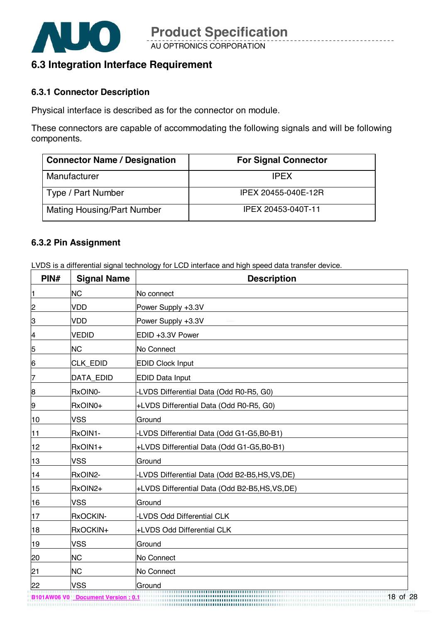

## **6.3 Integration Interface Requirement**

#### **6.3.1 Connector Description**

Physical interface is described as for the connector on module.

These connectors are capable of accommodating the following signals and will be following components.

| <b>Connector Name / Designation</b> | <b>For Signal Connector</b> |
|-------------------------------------|-----------------------------|
| Manufacturer                        | <b>IPFX</b>                 |
| Type / Part Number                  | IPEX 20455-040E-12R         |
| <b>Mating Housing/Part Number</b>   | IPEX 20453-040T-11          |

#### **6.3.2 Pin Assignment**

LVDS is a differential signal technology for LCD interface and high speed data transfer device.

| PIN#           | <b>Signal Name</b> | <b>Description</b>                              |
|----------------|--------------------|-------------------------------------------------|
| $\mathbf 1$    | <b>NC</b>          | No connect                                      |
| $\overline{c}$ | <b>VDD</b>         | Power Supply +3.3V                              |
| 3              | <b>VDD</b>         | Power Supply +3.3V                              |
| $\frac{4}{1}$  | <b>VEDID</b>       | EDID +3.3V Power                                |
| $\overline{5}$ | <b>NC</b>          | No Connect                                      |
| 6              | CLK_EDID           | <b>EDID Clock Input</b>                         |
| 7              | DATA_EDID          | <b>EDID Data Input</b>                          |
| 8              | RxOIN0-            | -LVDS Differential Data (Odd R0-R5, G0)         |
| 9              | RxOIN0+            | +LVDS Differential Data (Odd R0-R5, G0)         |
| 10             | <b>VSS</b>         | Ground                                          |
| 11             | <b>RxOIN1-</b>     | -LVDS Differential Data (Odd G1-G5,B0-B1)       |
| 12             | RxOIN1+            | +LVDS Differential Data (Odd G1-G5,B0-B1)       |
| 13             | <b>VSS</b>         | Ground                                          |
| 14             | RxOIN2-            | -LVDS Differential Data (Odd B2-B5,HS,VS,DE)    |
| 15             | RxOIN2+            | +LVDS Differential Data (Odd B2-B5, HS, VS, DE) |
| 16             | <b>VSS</b>         | Ground                                          |
| 17             | <b>RxOCKIN-</b>    | -LVDS Odd Differential CLK                      |
| 18             | RxOCKIN+           | +LVDS Odd Differential CLK                      |
| 19             | <b>VSS</b>         | Ground                                          |
| 20             | <b>NC</b>          | No Connect                                      |
| 21             | <b>NC</b>          | No Connect                                      |
| 22             | <b>VSS</b>         | Ground                                          |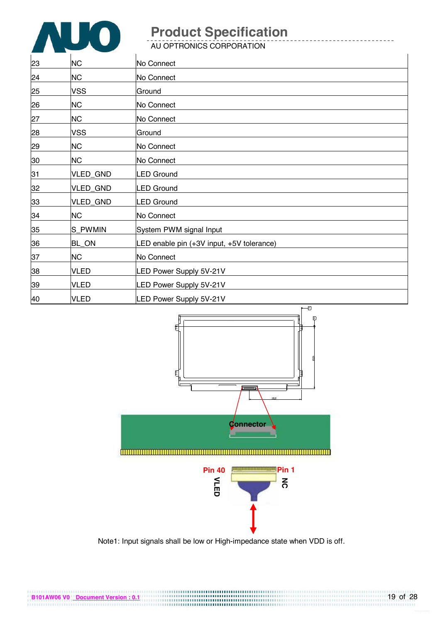

AU OPTRONICS CORPORATION

| 23 | <b>NC</b>   | No Connect                                |
|----|-------------|-------------------------------------------|
| 24 | <b>NC</b>   | No Connect                                |
| 25 | <b>VSS</b>  | Ground                                    |
| 26 | <b>NC</b>   | No Connect                                |
| 27 | <b>NC</b>   | No Connect                                |
| 28 | <b>VSS</b>  | Ground                                    |
| 29 | <b>NC</b>   | No Connect                                |
| 30 | <b>NC</b>   | No Connect                                |
| 31 | VLED_GND    | <b>LED Ground</b>                         |
| 32 | VLED_GND    | <b>LED Ground</b>                         |
| 33 | VLED_GND    | <b>LED Ground</b>                         |
| 34 | <b>NC</b>   | No Connect                                |
| 35 | S_PWMIN     | System PWM signal Input                   |
| 36 | BL_ON       | LED enable pin (+3V input, +5V tolerance) |
| 37 | <b>NC</b>   | No Connect                                |
| 38 | <b>VLED</b> | LED Power Supply 5V-21V                   |
| 39 | <b>VLED</b> | LED Power Supply 5V-21V                   |
| 40 | <b>VLED</b> | LED Power Supply 5V-21V                   |



Note1: Input signals shall be low or High-impedance state when VDD is off.

**B101AW06 V0** <u>Document Version : 0.1</u><br> **B101AW06 V0** Document Version : 0.1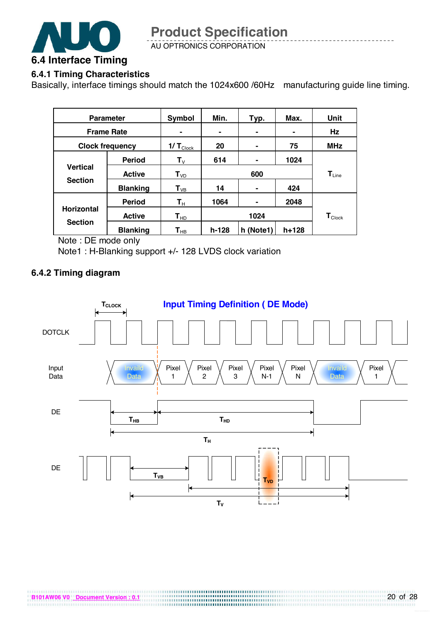

### **6.4.1 Timing Characteristics**

Basically, interface timings should match the 1024x600 /60Hz manufacturing guide line timing.

| <b>Parameter</b>                    |                 | Symbol                     | Min.           | Typ.           | Max.           | Unit                         |
|-------------------------------------|-----------------|----------------------------|----------------|----------------|----------------|------------------------------|
| <b>Frame Rate</b>                   |                 |                            | $\blacksquare$ | $\blacksquare$ | $\blacksquare$ | Hz                           |
| <b>Clock frequency</b>              |                 | 1/ $T_{\text{Clock}}$      | 20             |                | 75             | <b>MHz</b>                   |
|                                     | <b>Period</b>   | $T_{V}$                    | 614            | $\blacksquare$ | 1024           |                              |
| <b>Vertical</b><br><b>Section</b>   | <b>Active</b>   | $T_{VD}$                   | 600            |                |                | $\mathbf{T}_{\mathsf{Line}}$ |
|                                     | <b>Blanking</b> | $T_{VB}$                   | 14             | $\blacksquare$ | 424            |                              |
| <b>Horizontal</b><br><b>Section</b> | <b>Period</b>   | $\mathbf{T}_\text{H}$      | 1064           | -              | 2048           |                              |
|                                     | <b>Active</b>   | $\mathsf{T}_{\mathsf{HD}}$ | 1024           |                |                | $\mathbf{T}_{\text{Clock}}$  |
|                                     | <b>Blanking</b> | $\mathbf{T}_{\mathsf{HB}}$ | $h-128$        | h (Note1)      | h+128          |                              |

Note : DE mode only

Note1 : H-Blanking support +/- 128 LVDS clock variation

#### **6.4.2 Timing diagram**

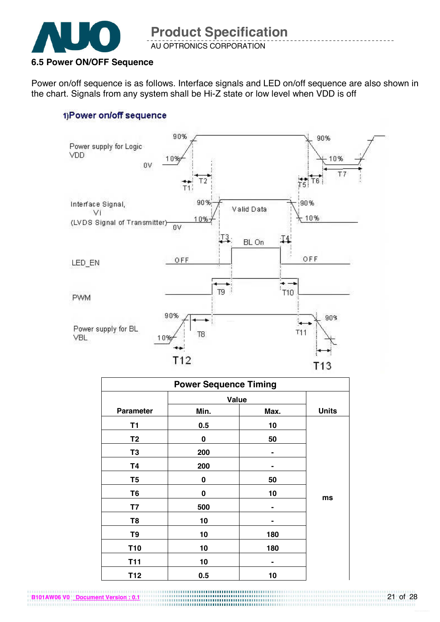

### **6.5 Power ON/OFF Sequence**

Power on/off sequence is as follows. Interface signals and LED on/off sequence are also shown in the chart. Signals from any system shall be Hi-Z state or low level when VDD is off

#### 1)Power on/off sequence



| <b>Power Sequence Timing</b> |              |      |              |  |
|------------------------------|--------------|------|--------------|--|
|                              | <b>Value</b> |      |              |  |
| <b>Parameter</b>             | Min.         | Max. | <b>Units</b> |  |
| T1                           | 0.5          | 10   |              |  |
| T <sub>2</sub>               | 0            | 50   |              |  |
| T <sub>3</sub>               | 200          |      |              |  |
| <b>T4</b>                    | 200          |      |              |  |
| T <sub>5</sub>               | 0            | 50   |              |  |
| T <sub>6</sub>               | 0            | 10   | ms           |  |
| T7                           | 500          |      |              |  |
| T <sub>8</sub>               | 10           |      |              |  |
| T9                           | 10           | 180  |              |  |
| T <sub>10</sub>              | 10           | 180  |              |  |
| <b>T11</b>                   | 10           |      |              |  |
| T12                          | 0.5          | 10   |              |  |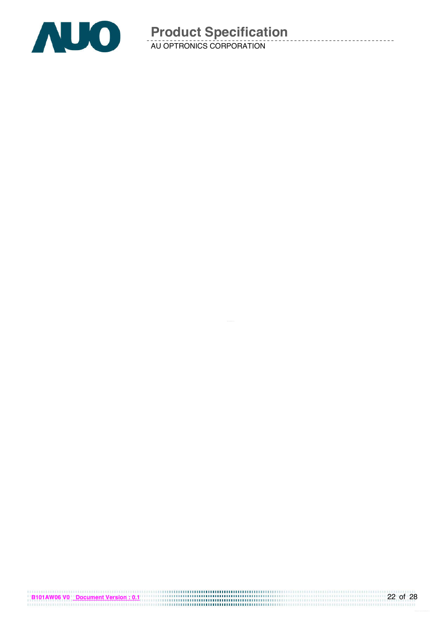

## AU OPTRONICS CORPORATION **Product Specification**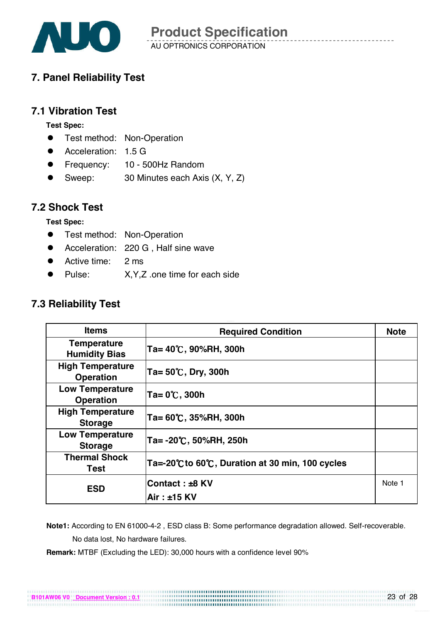

## **7. Panel Reliability Test**

#### **7.1 Vibration Test**

**Test Spec:** 

- **•** Test method: Non-Operation
- Acceleration: 1.5 G
- Frequency: 10 500Hz Random
- Sweep: 30 Minutes each Axis (X, Y, Z)

### **7.2 Shock Test**

**Test Spec:** 

- **•** Test method: Non-Operation
- Acceleration: 220 G, Half sine wave
- Active time: 2 ms
- Pulse: X, Y, Z .one time for each side

### **7.3 Reliability Test**

| <b>Items</b>                                | <b>Required Condition</b>                      | <b>Note</b> |
|---------------------------------------------|------------------------------------------------|-------------|
| <b>Temperature</b><br><b>Humidity Bias</b>  | Ta= 40℃, 90%RH, 300h                           |             |
| <b>High Temperature</b><br><b>Operation</b> | $Ta = 50^{\circ}C$ , Dry, 300h                 |             |
| <b>Low Temperature</b><br><b>Operation</b>  | $Ta = 0^{\circ}C$ , 300h                       |             |
| <b>High Temperature</b><br><b>Storage</b>   | Ta= 60℃, 35%RH, 300h                           |             |
| <b>Low Temperature</b><br><b>Storage</b>    | Ta= -20℃, 50%RH, 250h                          |             |
| <b>Thermal Shock</b><br>Test                | Ta=-20℃ to 60℃, Duration at 30 min, 100 cycles |             |
| <b>ESD</b>                                  | Contact: ±8 KV                                 | Note 1      |
|                                             | Air: ±15 KV                                    |             |

 **Note1:** According to EN 61000-4-2 , ESD class B: Some performance degradation allowed. Self-recoverable. No data lost, No hardware failures.

**Remark:** MTBF (Excluding the LED): 30,000 hours with a confidence level 90%

**B101AW06 V0 Document Version : 0.1**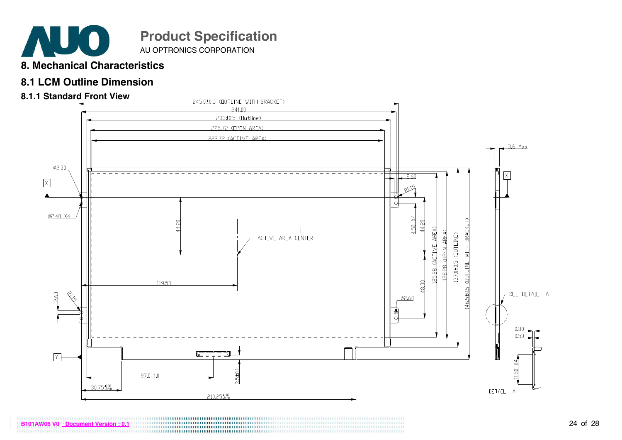

AU OPTRONICS CORPORATION

## **8. Mechanical Characteristics**

## **8.1 LCM Outline Dimension**

#### **8.1.1 Standard Front View**

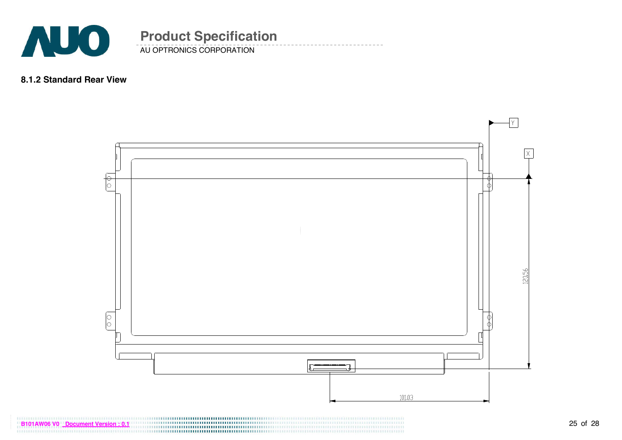

#### **8.1.2 Standard Rear View**



**B101AW06 V0 Document Version : 0.1 CONSULTER INTERFERIENCE IN A DOMESTIC PROPERTY OF DETAILS IN A DETAIL OF DETAILS IN A DETAIL OF DETAILS IN A DETAIL OF DETAILS IN A DETAIL OF DETAILS IN A DETAIL OF DETAILS IN A DETA** 

AU OPTRONICS CORPORATION

**Product Specification**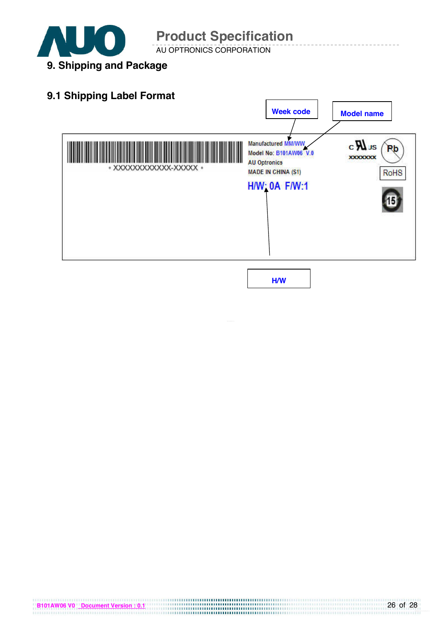

AU OPTRONICS CORPORATION

**9.1 Shipping Label Format** 



**B101AW06 V0** <u>Document Version : 0.1</u> **CONSUMER 2018 101AW06 V0** Document Version : 0.1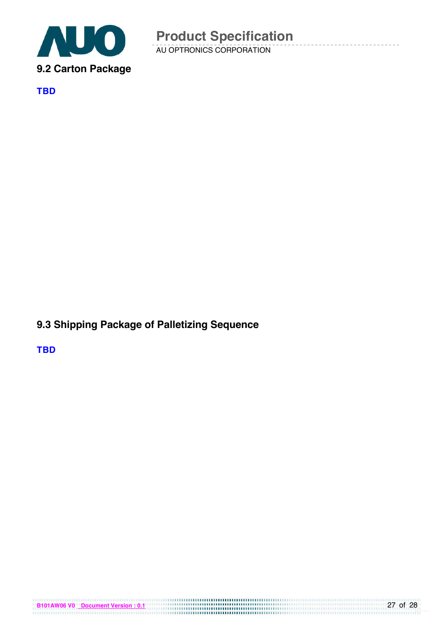

AU OPTRONICS CORPORATION **Product Specification** 

**TBD** 

**9.3 Shipping Package of Palletizing Sequence** 

**B101AW06 V0** Document Version : 0.1

**TBD**